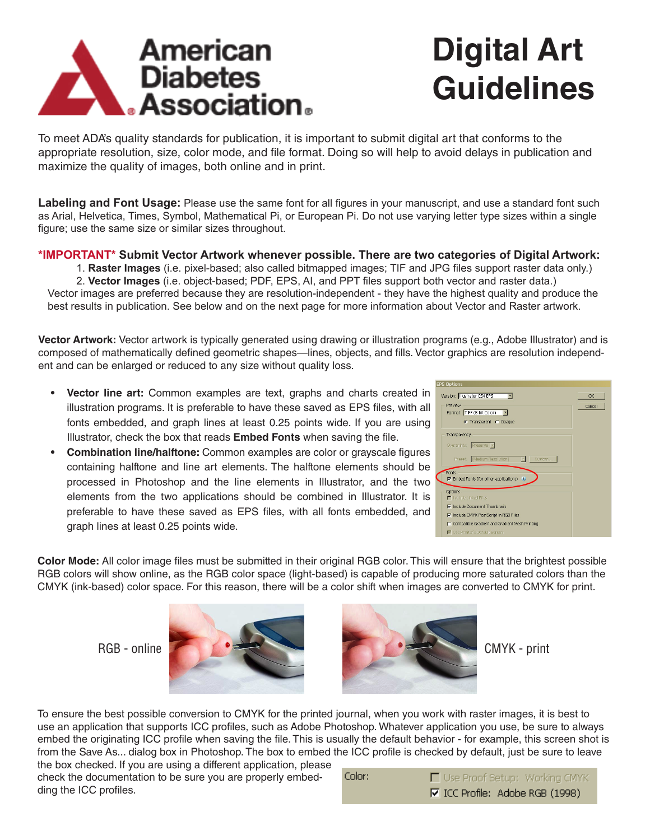

## **Digital Art Guidelines**

To meet ADA's quality standards for publication, it is important to submit digital art that conforms to the appropriate resolution, size, color mode, and file format. Doing so will help to avoid delays in publication and maximize the quality of images, both online and in print.

**Labeling and Font Usage:** Please use the same font for all figures in your manuscript, and use a standard font such as Arial, Helvetica, Times, Symbol, Mathematical Pi, or European Pi. Do not use varying letter type sizes within a single figure; use the same size or similar sizes throughout.

## **\*IMPORTANT\* Submit Vector Artwork whenever possible. There are two categories of Digital Artwork:**

1. **Raster Images** (i.e. pixel-based; also called bitmapped images; TIF and JPG files support raster data only.)

2. **Vector Images** (i.e. object-based; PDF, EPS, AI, and PPT files support both vector and raster data.) Vector images are preferred because they are resolution-independent - they have the highest quality and produce the best results in publication. See below and on the next page for more information about Vector and Raster artwork.

**Vector Artwork:** Vector artwork is typically generated using drawing or illustration programs (e.g., Adobe Illustrator) and is composed of mathematically defined geometric shapes—lines, objects, and fills. Vector graphics are resolution independent and can be enlarged or reduced to any size without quality loss.

- **• Vector line art:** Common examples are text, graphs and charts created in illustration programs. It is preferable to have these saved as EPS files, with all fonts embedded, and graph lines at least 0.25 points wide. If you are using Illustrator, check the box that reads **Embed Fonts** when saving the file.
- **• Combination line/halftone:** Common examples are color or grayscale figures containing halftone and line art elements. The halftone elements should be processed in Photoshop and the line elements in Illustrator, and the two elements from the two applications should be combined in Illustrator. It is preferable to have these saved as EPS files, with all fonts embedded, and graph lines at least 0.25 points wide.

| <b>EPS Options</b>                                     |
|--------------------------------------------------------|
| Version: Illustrator CS4 EPS<br><b>OK</b><br>⊣         |
| Preview<br>Cancel                                      |
| Format: TFF (8-bit Color) -                            |
| C Transparent C Opaque                                 |
| Transparency                                           |
| Overprints: Preserve                                   |
| Preset: [Medium Resolution]<br>Custom.                 |
| Fonts<br>$\nabla$ Embed Fonts (for other applications) |
|                                                        |
| Options<br><b>F</b> Include Linked Files               |
| To Include Document Thumbnails                         |
| To Include CMYK PostScript in RGB Files                |
| Compatible Gradient and Gradient Mesh Printing         |
| Use Printer's Default Screen                           |

**Color Mode:** All color image files must be submitted in their original RGB color. This will ensure that the brightest possible RGB colors will show online, as the RGB color space (light-based) is capable of producing more saturated colors than the CMYK (ink-based) color space. For this reason, there will be a color shift when images are converted to CMYK for print.





To ensure the best possible conversion to CMYK for the printed journal, when you work with raster images, it is best to use an application that supports ICC profiles, such as Adobe Photoshop. Whatever application you use, be sure to always embed the originating ICC profile when saving the file. This is usually the default behavior - for example, this screen shot is from the Save As... dialog box in Photoshop. The box to embed the ICC profile is checked by default, just be sure to leave the box checked. If you are using a different application, please

check the documentation to be sure you are properly embedding the ICC profiles.

| Color: | □ Use Proof Setup: Working CMYK |
|--------|---------------------------------|
|        | Ⅳ ICC Profile: Adobe RGB (1998) |